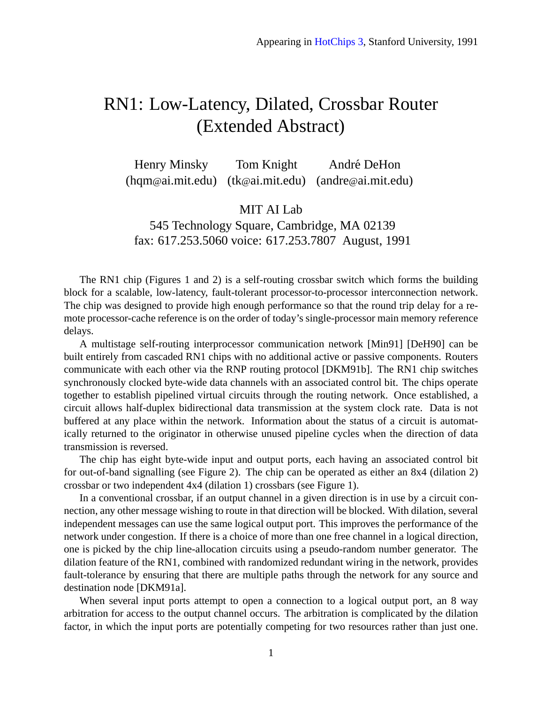## RN1: Low-Latency, Dilated, Crossbar Router (Extended Abstract)

Henry Minsky Tom Knight André DeHon (hqm@ai.mit.edu) (tk@ai.mit.edu) (andre@ai.mit.edu)

MIT AI Lab

545 Technology Square, Cambridge, MA 02139 fax: 617.253.5060 voice: 617.253.7807 August, 1991

The RN1 chip (Figures [1](#page-1-0) and [2\)](#page-2-0) is a self-routing crossbar switch which forms the building block for a scalable, low-latency, fault-tolerant processor-to-processor interconnection network. The chip was designed to provide high enough performance so that the round trip delay for a remote processor-cache reference is on the order of today's single-processor main memory reference delays.

A multistage self-routing interprocessor communication network [\[Min91\]](#page-2-1) [\[DeH90\]](#page-1-1) can be built entirely from cascaded RN1 chips with no additional active or passive components. Routers communicate with each other via the RNP routing protocol [\[DKM91b\]](#page-2-2). The RN1 chip switches synchronously clocked byte-wide data channels with an associated control bit. The chips operate together to establish pipelined virtual circuits through the routing network. Once established, a circuit allows half-duplex bidirectional data transmission at the system clock rate. Data is not buffered at any place within the network. Information about the status of a circuit is automatically returned to the originator in otherwise unused pipeline cycles when the direction of data transmission is reversed.

The chip has eight byte-wide input and output ports, each having an associated control bit for out-of-band signalling (see Figure [2\)](#page-2-0). The chip can be operated as either an 8x4 (dilation 2) crossbar or two independent 4x4 (dilation 1) crossbars (see Figure [1\)](#page-1-0).

In a conventional crossbar, if an output channel in a given direction is in use by a circuit connection, any other message wishing to route in that direction will be blocked. With dilation, several independent messages can use the same logical output port. This improves the performance of the network under congestion. If there is a choice of more than one free channel in a logical direction, one is picked by the chip line-allocation circuits using a pseudo-random number generator. The dilation feature of the RN1, combined with randomized redundant wiring in the network, provides fault-tolerance by ensuring that there are multiple paths through the network for any source and destination node [\[DKM91a\]](#page-1-2).

When several input ports attempt to open a connection to a logical output port, an 8 way arbitration for access to the output channel occurs. The arbitration is complicated by the dilation factor, in which the input ports are potentially competing for two resources rather than just one.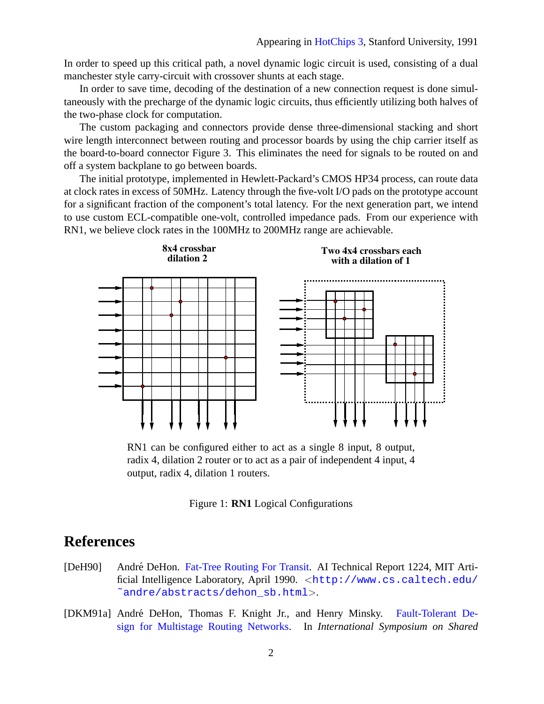In order to speed up this critical path, a novel dynamic logic circuit is used, consisting of a dual manchester style carry-circuit with crossover shunts at each stage.

In order to save time, decoding of the destination of a new connection request is done simultaneously with the precharge of the dynamic logic circuits, thus efficiently utilizing both halves of the two-phase clock for computation.

The custom packaging and connectors provide dense three-dimensional stacking and short wire length interconnect between routing and processor boards by using the chip carrier itself as the board-to-board connector Figure [3.](#page-3-0) This eliminates the need for signals to be routed on and off a system backplane to go between boards.

The initial prototype, implemented in Hewlett-Packard's CMOS HP34 process, can route data at clock rates in excess of 50MHz. Latency through the five-volt I/O pads on the prototype account for a significant fraction of the component's total latency. For the next generation part, we intend to use custom ECL-compatible one-volt, controlled impedance pads. From our experience with RN1, we believe clock rates in the 100MHz to 200MHz range are achievable.



RN1 can be configured either to act as a single 8 input, 8 output, radix 4, dilation 2 router or to act as a pair of independent 4 input, 4 output, radix 4, dilation 1 routers.

<span id="page-1-0"></span>

## **References**

- <span id="page-1-1"></span>[DeH90] André DeHon. [Fat-Tree Routing For Transit.](http://www.cs.caltech.edu/~andre/abstracts/dehon_sb.html) AI Technical Report 1224, MIT Artificial Intelligence Laboratory, April 1990. <[http://www.cs.caltech.edu/](http://www.cs.caltech.edu/~andre/abstracts/dehon_sb.html) ~andre/abstracts/dehon sb.html>.
- <span id="page-1-2"></span>[DKM91a] André DeHon, Thomas F. Knight Jr., and Henry Minsky. [Fault-Tolerant De](http://www.cs.caltech.edu/~andre/ps/multipath_issmm91.ps)[sign for Multistage Routing Networks.](http://www.cs.caltech.edu/~andre/ps/multipath_issmm91.ps) In *International Symposium on Shared*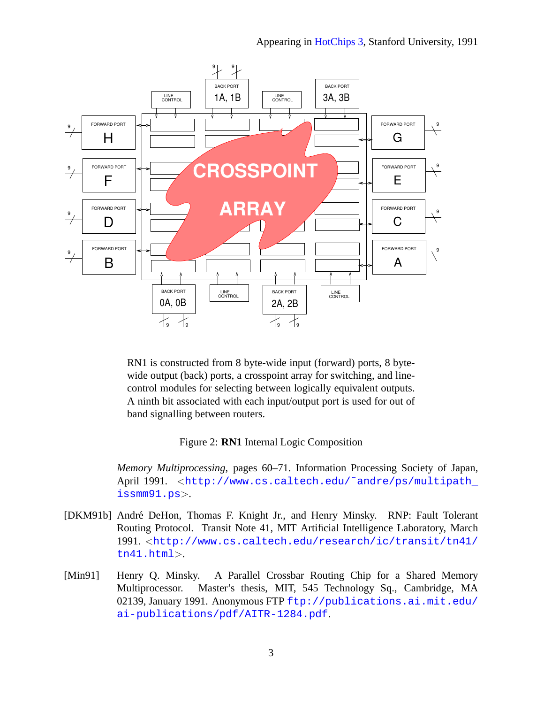

RN1 is constructed from 8 byte-wide input (forward) ports, 8 bytewide output (back) ports, a crosspoint array for switching, and linecontrol modules for selecting between logically equivalent outputs. A ninth bit associated with each input/output port is used for out of band signalling between routers.

## <span id="page-2-0"></span>Figure 2: **RN1** Internal Logic Composition

*Memory Multiprocessing*, pages 60–71. Information Processing Society of Japan, April 1991. <http://www.cs.caltech.edu/~andre/ps/multipath\_ [issmm91.ps](http://www.cs.caltech.edu/~andre/ps/multipath_issmm91.ps)>.

- <span id="page-2-2"></span>[DKM91b] Andre DeHon, Thomas F. Knight Jr., and Henry Minsky. RNP: Fault Tolerant ´ Routing Protocol. Transit Note 41, MIT Artificial Intelligence Laboratory, March 1991. <[http://www.cs.caltech.edu/research/ic/transit/tn41/](http://www.cs.caltech.edu/research/ic/transit/tn41/tn41.html) [tn41.html](http://www.cs.caltech.edu/research/ic/transit/tn41/tn41.html)>.
- <span id="page-2-1"></span>[Min91] Henry Q. Minsky. A Parallel Crossbar Routing Chip for a Shared Memory Multiprocessor. Master's thesis, MIT, 545 Technology Sq., Cambridge, MA 02139, January 1991. Anonymous FTP [ftp://publications.ai.mit.edu/](ftp://publications.ai.mit.edu/ai-publications/pdf/AITR-1284.pdf) [ai-publications/pdf/AITR-1284.pdf](ftp://publications.ai.mit.edu/ai-publications/pdf/AITR-1284.pdf).